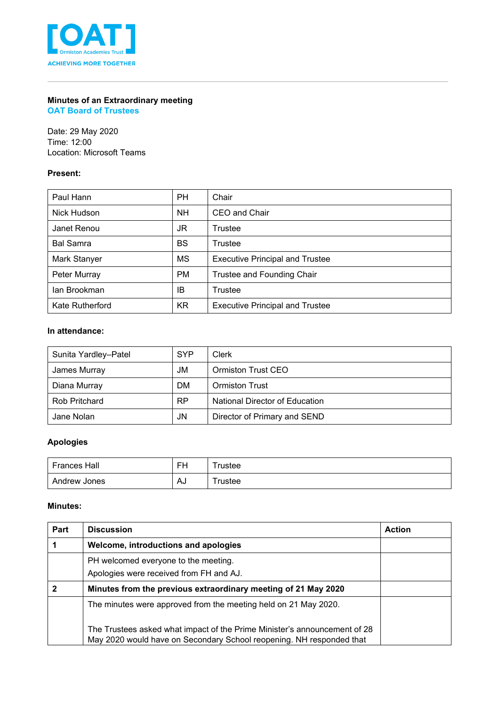

# **Minutes of an Extraordinary meeting**

**OAT Board of Trustees**

Date: 29 May 2020 Time: 12:00 Location: Microsoft Teams

# **Present:**

| Paul Hann        | <b>PH</b> | Chair                                  |
|------------------|-----------|----------------------------------------|
| Nick Hudson      | <b>NH</b> | CEO and Chair                          |
| Janet Renou      | JR        | Trustee                                |
| <b>Bal Samra</b> | <b>BS</b> | Trustee                                |
| Mark Stanyer     | MS        | <b>Executive Principal and Trustee</b> |
| Peter Murray     | <b>PM</b> | Trustee and Founding Chair             |
| lan Brookman     | IB        | Trustee                                |
| Kate Rutherford  | <b>KR</b> | <b>Executive Principal and Trustee</b> |

### **In attendance:**

| Sunita Yardley-Patel | <b>SYP</b> | Clerk                          |
|----------------------|------------|--------------------------------|
| James Murray         | JM         | Ormiston Trust CEO             |
| Diana Murray         | <b>DM</b>  | <b>Ormiston Trust</b>          |
| <b>Rob Pritchard</b> | <b>RP</b>  | National Director of Education |
| Jane Nolan           | JN         | Director of Primary and SEND   |

# **Apologies**

| <b>Frances Hall</b> | ᄄ  | rustee     |
|---------------------|----|------------|
| Andrew Jones        | AJ | $T$ rustee |

#### **Minutes:**

| Part | <b>Discussion</b>                                                                                                                                 | <b>Action</b> |
|------|---------------------------------------------------------------------------------------------------------------------------------------------------|---------------|
|      | Welcome, introductions and apologies                                                                                                              |               |
|      | PH welcomed everyone to the meeting.<br>Apologies were received from FH and AJ.                                                                   |               |
|      | Minutes from the previous extraordinary meeting of 21 May 2020                                                                                    |               |
|      | The minutes were approved from the meeting held on 21 May 2020.                                                                                   |               |
|      | The Trustees asked what impact of the Prime Minister's announcement of 28<br>May 2020 would have on Secondary School reopening. NH responded that |               |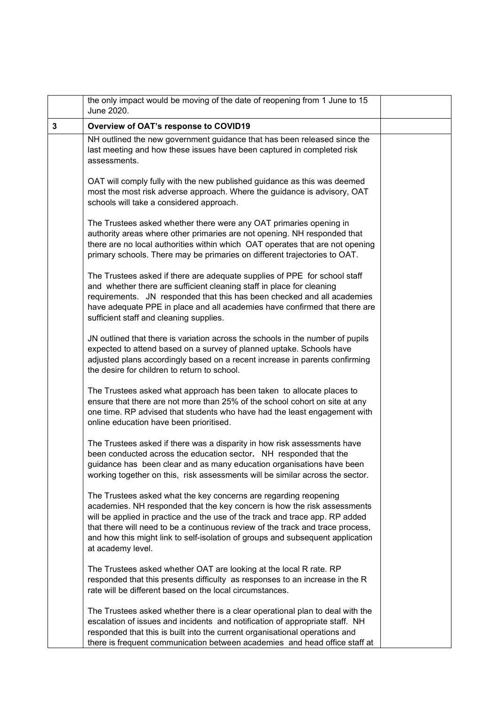|              | the only impact would be moving of the date of reopening from 1 June to 15<br>June 2020.                                                                                                                                                                                                                                                                                                                              |  |
|--------------|-----------------------------------------------------------------------------------------------------------------------------------------------------------------------------------------------------------------------------------------------------------------------------------------------------------------------------------------------------------------------------------------------------------------------|--|
| $\mathbf{3}$ | Overview of OAT's response to COVID19                                                                                                                                                                                                                                                                                                                                                                                 |  |
|              | NH outlined the new government guidance that has been released since the<br>last meeting and how these issues have been captured in completed risk<br>assessments.                                                                                                                                                                                                                                                    |  |
|              | OAT will comply fully with the new published guidance as this was deemed<br>most the most risk adverse approach. Where the guidance is advisory, OAT<br>schools will take a considered approach.                                                                                                                                                                                                                      |  |
|              | The Trustees asked whether there were any OAT primaries opening in<br>authority areas where other primaries are not opening. NH responded that<br>there are no local authorities within which OAT operates that are not opening<br>primary schools. There may be primaries on different trajectories to OAT.                                                                                                          |  |
|              | The Trustees asked if there are adequate supplies of PPE for school staff<br>and whether there are sufficient cleaning staff in place for cleaning<br>requirements. JN responded that this has been checked and all academies<br>have adequate PPE in place and all academies have confirmed that there are<br>sufficient staff and cleaning supplies.                                                                |  |
|              | JN outlined that there is variation across the schools in the number of pupils<br>expected to attend based on a survey of planned uptake. Schools have<br>adjusted plans accordingly based on a recent increase in parents confirming<br>the desire for children to return to school.                                                                                                                                 |  |
|              | The Trustees asked what approach has been taken to allocate places to<br>ensure that there are not more than 25% of the school cohort on site at any<br>one time. RP advised that students who have had the least engagement with<br>online education have been prioritised.                                                                                                                                          |  |
|              | The Trustees asked if there was a disparity in how risk assessments have<br>been conducted across the education sector. NH responded that the<br>guidance has been clear and as many education organisations have been<br>working together on this, risk assessments will be similar across the sector.                                                                                                               |  |
|              | The Trustees asked what the key concerns are regarding reopening<br>academies. NH responded that the key concern is how the risk assessments<br>will be applied in practice and the use of the track and trace app. RP added<br>that there will need to be a continuous review of the track and trace process,<br>and how this might link to self-isolation of groups and subsequent application<br>at academy level. |  |
|              | The Trustees asked whether OAT are looking at the local R rate. RP<br>responded that this presents difficulty as responses to an increase in the R<br>rate will be different based on the local circumstances.                                                                                                                                                                                                        |  |
|              | The Trustees asked whether there is a clear operational plan to deal with the<br>escalation of issues and incidents and notification of appropriate staff. NH<br>responded that this is built into the current organisational operations and<br>there is frequent communication between academies and head office staff at                                                                                            |  |